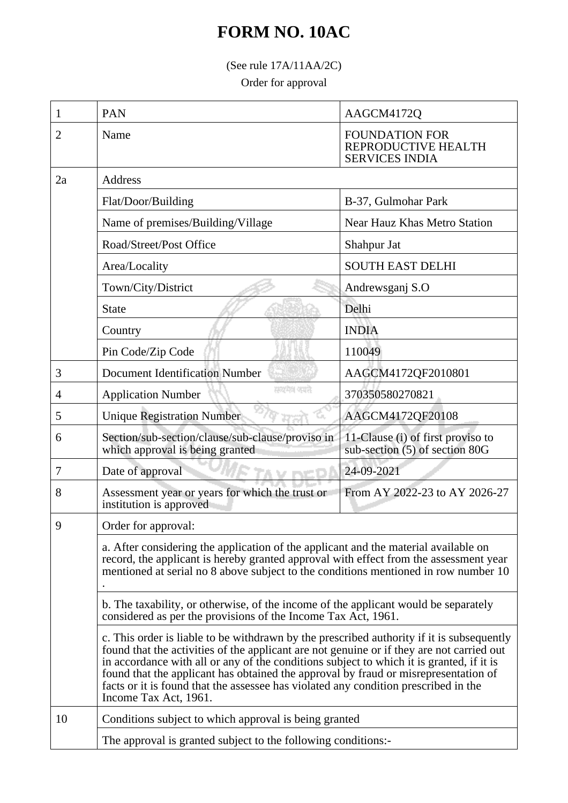## **FORM NO. 10AC**

(See rule 17A/11AA/2C)

Order for approval

| 1  | <b>PAN</b>                                                                                                                                                                                                                                                                                                                                                                                                                                                                                | AAGCM4172Q                                                            |  |
|----|-------------------------------------------------------------------------------------------------------------------------------------------------------------------------------------------------------------------------------------------------------------------------------------------------------------------------------------------------------------------------------------------------------------------------------------------------------------------------------------------|-----------------------------------------------------------------------|--|
| 2  | Name                                                                                                                                                                                                                                                                                                                                                                                                                                                                                      | <b>FOUNDATION FOR</b><br>REPRODUCTIVE HEALTH<br><b>SERVICES INDIA</b> |  |
| 2a | Address                                                                                                                                                                                                                                                                                                                                                                                                                                                                                   |                                                                       |  |
|    | Flat/Door/Building                                                                                                                                                                                                                                                                                                                                                                                                                                                                        | B-37, Gulmohar Park                                                   |  |
|    | Name of premises/Building/Village                                                                                                                                                                                                                                                                                                                                                                                                                                                         | <b>Near Hauz Khas Metro Station</b>                                   |  |
|    | Road/Street/Post Office                                                                                                                                                                                                                                                                                                                                                                                                                                                                   | Shahpur Jat                                                           |  |
|    | Area/Locality                                                                                                                                                                                                                                                                                                                                                                                                                                                                             | <b>SOUTH EAST DELHI</b>                                               |  |
|    | Town/City/District                                                                                                                                                                                                                                                                                                                                                                                                                                                                        | Andrewsganj S.O                                                       |  |
|    | <b>State</b>                                                                                                                                                                                                                                                                                                                                                                                                                                                                              | Delhi                                                                 |  |
|    | Country                                                                                                                                                                                                                                                                                                                                                                                                                                                                                   | <b>INDIA</b>                                                          |  |
|    | Pin Code/Zip Code                                                                                                                                                                                                                                                                                                                                                                                                                                                                         | 110049                                                                |  |
| 3  | <b>Document Identification Number</b>                                                                                                                                                                                                                                                                                                                                                                                                                                                     | AAGCM4172QF2010801                                                    |  |
| 4  | सम्प्रमेश क्याते<br><b>Application Number</b>                                                                                                                                                                                                                                                                                                                                                                                                                                             | 370350580270821                                                       |  |
| 5  | <b>Unique Registration Number</b>                                                                                                                                                                                                                                                                                                                                                                                                                                                         | AAGCM4172QF20108                                                      |  |
| 6  | Section/sub-section/clause/sub-clause/proviso in<br>which approval is being granted                                                                                                                                                                                                                                                                                                                                                                                                       | 11-Clause (i) of first proviso to<br>sub-section (5) of section 80G   |  |
| 7  | Date of approval                                                                                                                                                                                                                                                                                                                                                                                                                                                                          | 24-09-2021                                                            |  |
| 8  | Assessment year or years for which the trust or<br>institution is approved                                                                                                                                                                                                                                                                                                                                                                                                                | From AY 2022-23 to AY 2026-27                                         |  |
| Q  | Order for approval:                                                                                                                                                                                                                                                                                                                                                                                                                                                                       |                                                                       |  |
|    | a. After considering the application of the applicant and the material available on<br>record, the applicant is hereby granted approval with effect from the assessment year<br>mentioned at serial no 8 above subject to the conditions mentioned in row number 10                                                                                                                                                                                                                       |                                                                       |  |
|    | b. The taxability, or otherwise, of the income of the applicant would be separately<br>considered as per the provisions of the Income Tax Act, 1961.                                                                                                                                                                                                                                                                                                                                      |                                                                       |  |
|    | c. This order is liable to be withdrawn by the prescribed authority if it is subsequently<br>found that the activities of the applicant are not genuine or if they are not carried out<br>in accordance with all or any of the conditions subject to which it is granted, if it is<br>found that the applicant has obtained the approval by fraud or misrepresentation of<br>facts or it is found that the assessee has violated any condition prescribed in the<br>Income Tax Act, 1961. |                                                                       |  |
| 10 | Conditions subject to which approval is being granted<br>The approval is granted subject to the following conditions:                                                                                                                                                                                                                                                                                                                                                                     |                                                                       |  |
|    |                                                                                                                                                                                                                                                                                                                                                                                                                                                                                           |                                                                       |  |